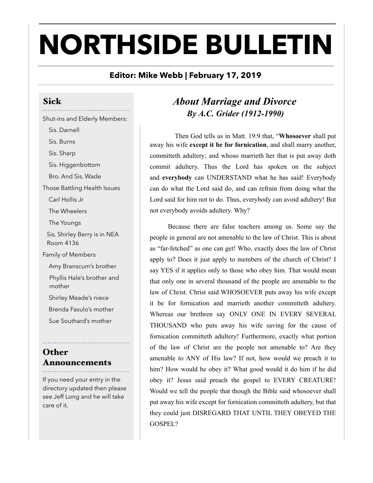# **NORTHSIDE BULLETIN**

### **Editor: Mike Webb | February 17, 2019**

Sick Shut-ins and Elderly Members: Sis. Darnell Sis. Burns Sis. Sharp Sis. Higgenbottom Bro. And Sis. Wade Those Battling Health Issues Carl Hollis Jr The Wheelers The Youngs Sis. Shirley Berry is in NEA Room 4136 Family of Members Amy Branscum's brother Phyllis Hale's brother and mother Shirley Meade's niece Brenda Fasulo's mother Sue Southard's mother

#### **Other** Announcements

If you need your entry in the directory updated then please see Jeff Long and he will take care of it.

## *About Marriage and Divorce By A.C. Grider (1912-1990)*

 Then God tells us in Matt. 19:9 that, "**Whosoever** shall put away his wife **except it be for fornication**, and shall marry another, committeth adultery; and whoso marrieth her that is put away doth commit adultery. Thus the Lord has spoken on the subject and **everybody** can UNDERSTAND what he has said! Everybody can do what the Lord said do, and can refrain from doing what the Lord said for him not to do. Thus, everybody can avoid adultery! But not everybody avoids adultery. Why?

 Because there are false teachers among us. Some say the people in general are not amenable to the law of Christ. This is about as "far-fetched" as one can get! Who, exactly does the law of Christ apply to? Does it just apply to members of the church of Christ? I say YES if it applies only to those who obey him. That would mean that only one in several thousand of the people are amenable to the law of Christ. Christ said WHOSOEVER puts away his wife except it be for fornication and marrieth another committeth adultery. Whereas our brethren say ONLY ONE IN EVERY SEVERAL THOUSAND who puts away his wife saving for the cause of fornication committeth adultery! Furthermore, exactly what portion of the law of Christ are the people not amenable to? Are they amenable to ANY of His law? If not, how would we preach it to him? How would he obey it? What good would it do him if he did obey it? Jesus said preach the gospel to EVERY CREATURE! Would we tell the people that though the Bible said whosoever shall put away his wife except for fornication committeth adultery, but that they could just DISREGARD THAT UNTIL THEY OBEYED THE GOSPEL?